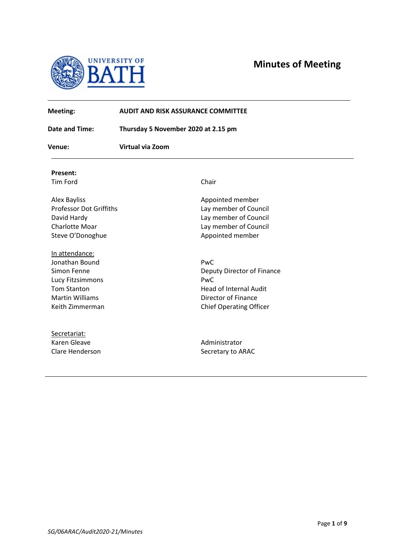

| <b>Meeting:</b><br><b>Date and Time:</b> | <b>AUDIT AND RISK ASSURANCE COMMITTEE</b><br>Thursday 5 November 2020 at 2.15 pm |                                |  |
|------------------------------------------|----------------------------------------------------------------------------------|--------------------------------|--|
|                                          |                                                                                  |                                |  |
| Present:                                 |                                                                                  |                                |  |
| <b>Tim Ford</b>                          |                                                                                  | Chair                          |  |
| <b>Alex Bayliss</b>                      |                                                                                  | Appointed member               |  |
| <b>Professor Dot Griffiths</b>           |                                                                                  | Lay member of Council          |  |
| David Hardy                              |                                                                                  | Lay member of Council          |  |
| <b>Charlotte Moar</b>                    |                                                                                  | Lay member of Council          |  |
| Steve O'Donoghue                         |                                                                                  | Appointed member               |  |
| In attendance:                           |                                                                                  |                                |  |
| Jonathan Bound                           |                                                                                  | PwC                            |  |
| Simon Fenne                              |                                                                                  | Deputy Director of Finance     |  |
| Lucy Fitzsimmons                         |                                                                                  | PwC                            |  |
| <b>Tom Stanton</b>                       |                                                                                  | <b>Head of Internal Audit</b>  |  |
| <b>Martin Williams</b>                   |                                                                                  | Director of Finance            |  |
| Keith Zimmerman                          |                                                                                  | <b>Chief Operating Officer</b> |  |
| Secretariat:                             |                                                                                  |                                |  |
| Karen Gleave                             |                                                                                  | Administrator                  |  |
| <b>Clare Henderson</b>                   |                                                                                  | Secretary to ARAC              |  |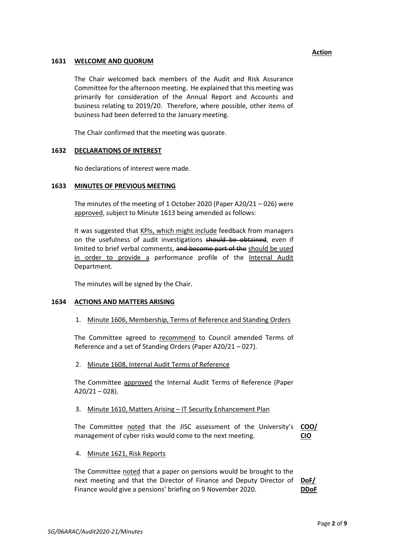## **1631 WELCOME AND QUORUM**

The Chair welcomed back members of the Audit and Risk Assurance Committee for the afternoon meeting. He explained that this meeting was primarily for consideration of the Annual Report and Accounts and business relating to 2019/20. Therefore, where possible, other items of business had been deferred to the January meeting.

The Chair confirmed that the meeting was quorate.

## **1632 DECLARATIONS OF INTEREST**

No declarations of interest were made.

### **1633 MINUTES OF PREVIOUS MEETING**

The minutes of the meeting of 1 October 2020 (Paper A20/21 – 026) were approved, subject to Minute 1613 being amended as follows:

It was suggested that KPIs, which might include feedback from managers on the usefulness of audit investigations should be obtained, even if limited to brief verbal comments, and become part of the should be used in order to provide a performance profile of the Internal Audit Department.

The minutes will be signed by the Chair.

## **1634 ACTIONS AND MATTERS ARISING**

1. Minute 1606, Membership, Terms of Reference and Standing Orders

The Committee agreed to recommend to Council amended Terms of Reference and a set of Standing Orders (Paper A20/21 – 027).

2. Minute 1608, Internal Audit Terms of Reference

The Committee approved the Internal Audit Terms of Reference (Paper  $A20/21 - 028$ ).

## 3. Minute 1610, Matters Arising – IT Security Enhancement Plan

The Committee **noted** that the JISC assessment of the University's **COO/** management of cyber risks would come to the next meeting. **CIO**

4. Minute 1621, Risk Reports

The Committee noted that a paper on pensions would be brought to the next meeting and that the Director of Finance and Deputy Director of **DoF/**  Finance would give a pensions' briefing on 9 November 2020. **DDoF**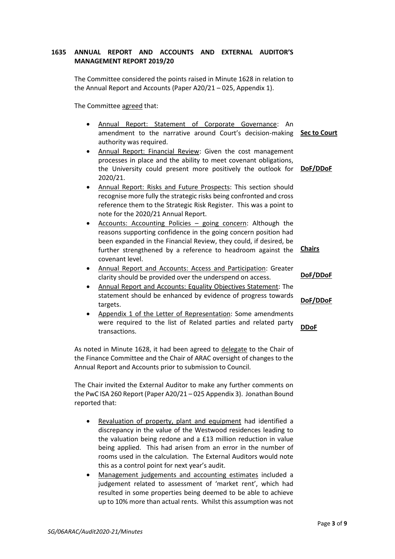# **1635 ANNUAL REPORT AND ACCOUNTS AND EXTERNAL AUDITOR'S MANAGEMENT REPORT 2019/20**

The Committee considered the points raised in Minute 1628 in relation to the Annual Report and Accounts (Paper A20/21 – 025, Appendix 1).

The Committee agreed that:

- Annual Report: Statement of Corporate Governance: An amendment to the narrative around Court's decision-making **Sec to Court** authority was required.
- Annual Report: Financial Review: Given the cost management processes in place and the ability to meet covenant obligations, the University could present more positively the outlook for **DoF/DDoF** 2020/21.
- Annual Report: Risks and Future Prospects: This section should recognise more fully the strategic risks being confronted and cross reference them to the Strategic Risk Register. This was a point to note for the 2020/21 Annual Report.
- Accounts: Accounting Policies going concern: Although the reasons supporting confidence in the going concern position had been expanded in the Financial Review, they could, if desired, be further strengthened by a reference to headroom against the covenant level.
- Annual Report and Accounts: Access and Participation: Greater clarity should be provided over the underspend on access.
- Annual Report and Accounts: Equality Objectives Statement: The statement should be enhanced by evidence of progress towards targets.
- Appendix 1 of the Letter of Representation: Some amendments were required to the list of Related parties and related party transactions.

As noted in Minute 1628, it had been agreed to delegate to the Chair of the Finance Committee and the Chair of ARAC oversight of changes to the Annual Report and Accounts prior to submission to Council.

The Chair invited the External Auditor to make any further comments on the PwC ISA 260 Report (Paper A20/21 – 025 Appendix 3). Jonathan Bound reported that:

- Revaluation of property, plant and equipment had identified a discrepancy in the value of the Westwood residences leading to the valuation being redone and a £13 million reduction in value being applied. This had arisen from an error in the number of rooms used in the calculation. The External Auditors would note this as a control point for next year's audit.
- Management judgements and accounting estimates included a judgement related to assessment of 'market rent', which had resulted in some properties being deemed to be able to achieve up to 10% more than actual rents. Whilst this assumption was not

**Chairs**

**DoF/DDoF**

**DoF/DDoF**

**DDoF**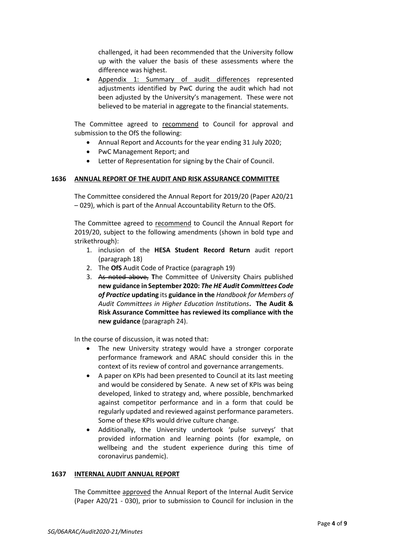challenged, it had been recommended that the University follow up with the valuer the basis of these assessments where the difference was highest.

• Appendix 1: Summary of audit differences represented adjustments identified by PwC during the audit which had not been adjusted by the University's management. These were not believed to be material in aggregate to the financial statements.

The Committee agreed to recommend to Council for approval and submission to the OfS the following:

- Annual Report and Accounts for the year ending 31 July 2020;
- PwC Management Report; and
- Letter of Representation for signing by the Chair of Council.

## **1636 ANNUAL REPORT OF THE AUDIT AND RISK ASSURANCE COMMITTEE**

The Committee considered the Annual Report for 2019/20 (Paper A20/21 – 029), which is part of the Annual Accountability Return to the OfS.

The Committee agreed to recommend to Council the Annual Report for 2019/20, subject to the following amendments (shown in bold type and strikethrough):

- 1. inclusion of the **HESA Student Record Return** audit report (paragraph 18)
- 2. The **OfS** Audit Code of Practice (paragraph 19)
- 3. As noted above, **T**he Committee of University Chairs published **new guidance in September 2020:** *The HE Audit Committees Code of Practice* **updating** its **guidance in the** *Handbook for Members of Audit Committees in Higher Education Institutions***. The Audit & Risk Assurance Committee has reviewed its compliance with the new guidance** (paragraph 24).

In the course of discussion, it was noted that:

- The new University strategy would have a stronger corporate performance framework and ARAC should consider this in the context of its review of control and governance arrangements.
- A paper on KPIs had been presented to Council at its last meeting and would be considered by Senate. A new set of KPIs was being developed, linked to strategy and, where possible, benchmarked against competitor performance and in a form that could be regularly updated and reviewed against performance parameters. Some of these KPIs would drive culture change.
- Additionally, the University undertook 'pulse surveys' that provided information and learning points (for example, on wellbeing and the student experience during this time of coronavirus pandemic).

## **1637 INTERNAL AUDIT ANNUAL REPORT**

The Committee approved the Annual Report of the Internal Audit Service (Paper A20/21 - 030), prior to submission to Council for inclusion in the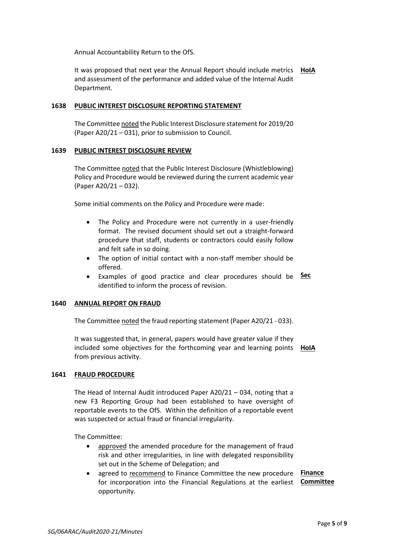Annual Accountability Return to the OfS.

It was proposed that next year the Annual Report should include metrics **HolA** and assessment of the performance and added value of the Internal Audit Department.

### **1638 PUBLIC INTEREST DISCLOSURE REPORTING STATEMENT**

The Committee noted the Public Interest Disclosure statement for 2019/20 (Paper A20/21 – 031), prior to submission to Council.

### **1639 PUBLIC INTEREST DISCLOSURE REVIEW**

The Committee noted that the Public Interest Disclosure (Whistleblowing) Policy and Procedure would be reviewed during the current academic year (Paper A20/21 – 032).

Some initial comments on the Policy and Procedure were made:

- The Policy and Procedure were not currently in a user-friendly format. The revised document should set out a straight-forward procedure that staff, students or contractors could easily follow and felt safe in so doing.
- The option of initial contact with a non-staff member should be offered.
- Examples of good practice and clear procedures should be **Sec** identified to inform the process of revision.

## **1640 ANNUAL REPORT ON FRAUD**

The Committee noted the fraud reporting statement (Paper A20/21 - 033).

It was suggested that, in general, papers would have greater value if they included some objectives for the forthcoming year and learning points **HoIA** from previous activity.

#### **1641 FRAUD PROCEDURE**

The Head of Internal Audit introduced Paper A20/21 – 034, noting that a new F3 Reporting Group had been established to have oversight of reportable events to the OfS. Within the definition of a reportable event was suspected or actual fraud or financial irregularity.

The Committee:

- approved the amended procedure for the management of fraud risk and other irregularities, in line with delegated responsibility set out in the Scheme of Delegation; and
- **•** agreed to recommend to Finance Committee the new procedure Finance for incorporation into the Financial Regulations at the earliest **Committee**opportunity.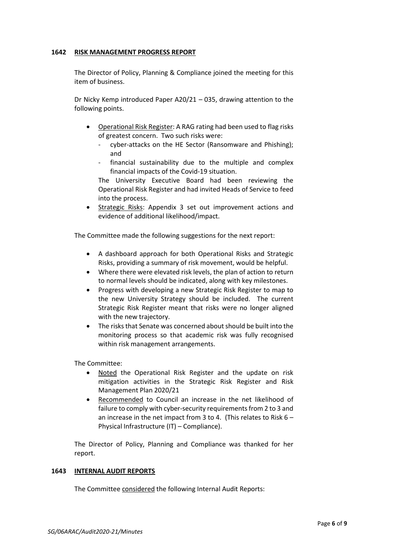### **1642 RISK MANAGEMENT PROGRESS REPORT**

The Director of Policy, Planning & Compliance joined the meeting for this item of business.

Dr Nicky Kemp introduced Paper A20/21 – 035, drawing attention to the following points.

- Operational Risk Register: A RAG rating had been used to flag risks of greatest concern. Two such risks were:
	- cyber-attacks on the HE Sector (Ransomware and Phishing); and
	- financial sustainability due to the multiple and complex financial impacts of the Covid-19 situation.

The University Executive Board had been reviewing the Operational Risk Register and had invited Heads of Service to feed into the process.

• Strategic Risks: Appendix 3 set out improvement actions and evidence of additional likelihood/impact.

The Committee made the following suggestions for the next report:

- A dashboard approach for both Operational Risks and Strategic Risks, providing a summary of risk movement, would be helpful.
- Where there were elevated risk levels, the plan of action to return to normal levels should be indicated, along with key milestones.
- Progress with developing a new Strategic Risk Register to map to the new University Strategy should be included. The current Strategic Risk Register meant that risks were no longer aligned with the new trajectory.
- The risks that Senate was concerned about should be built into the monitoring process so that academic risk was fully recognised within risk management arrangements.

The Committee:

- Noted the Operational Risk Register and the update on risk mitigation activities in the Strategic Risk Register and Risk Management Plan 2020/21
- Recommended to Council an increase in the net likelihood of failure to comply with cyber-security requirements from 2 to 3 and an increase in the net impact from 3 to 4. (This relates to Risk  $6 -$ Physical Infrastructure (IT) – Compliance).

The Director of Policy, Planning and Compliance was thanked for her report.

#### **1643 INTERNAL AUDIT REPORTS**

The Committee considered the following Internal Audit Reports: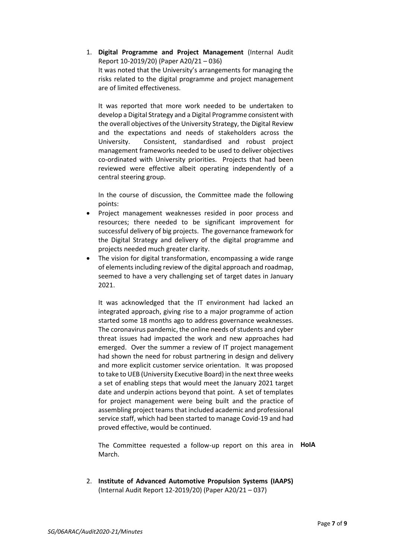1. **Digital Programme and Project Management** (Internal Audit Report 10-2019/20) (Paper A20/21 – 036) It was noted that the University's arrangements for managing the risks related to the digital programme and project management are of limited effectiveness.

It was reported that more work needed to be undertaken to develop a Digital Strategy and a Digital Programme consistent with the overall objectives of the University Strategy, the Digital Review and the expectations and needs of stakeholders across the University. Consistent, standardised and robust project management frameworks needed to be used to deliver objectives co-ordinated with University priorities. Projects that had been reviewed were effective albeit operating independently of a central steering group.

In the course of discussion, the Committee made the following points:

- Project management weaknesses resided in poor process and resources; there needed to be significant improvement for successful delivery of big projects. The governance framework for the Digital Strategy and delivery of the digital programme and projects needed much greater clarity.
- The vision for digital transformation, encompassing a wide range of elements including review of the digital approach and roadmap, seemed to have a very challenging set of target dates in January 2021.

It was acknowledged that the IT environment had lacked an integrated approach, giving rise to a major programme of action started some 18 months ago to address governance weaknesses. The coronavirus pandemic, the online needs of students and cyber threat issues had impacted the work and new approaches had emerged. Over the summer a review of IT project management had shown the need for robust partnering in design and delivery and more explicit customer service orientation. It was proposed to take to UEB (University Executive Board) in the next three weeks a set of enabling steps that would meet the January 2021 target date and underpin actions beyond that point. A set of templates for project management were being built and the practice of assembling project teams that included academic and professional service staff, which had been started to manage Covid-19 and had proved effective, would be continued.

The Committee requested a follow-up report on this area in **HoIA**March.

2. **Institute of Advanced Automotive Propulsion Systems (IAAPS)** (Internal Audit Report 12-2019/20) (Paper A20/21 – 037)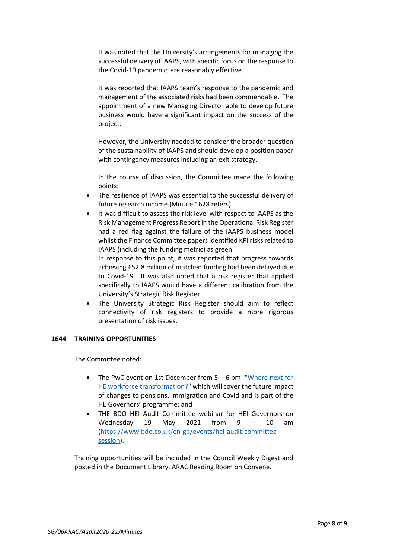It was noted that the University's arrangements for managing the successful delivery of IAAPS, with specific focus on the response to the Covid-19 pandemic, are reasonably effective.

It was reported that IAAPS team's response to the pandemic and management of the associated risks had been commendable. The appointment of a new Managing Director able to develop future business would have a significant impact on the success of the project.

However, the University needed to consider the broader question of the sustainability of IAAPS and should develop a position paper with contingency measures including an exit strategy.

In the course of discussion, the Committee made the following points:

- The resilience of IAAPS was essential to the successful delivery of future research income (Minute 1628 refers).
- It was difficult to assess the risk level with respect to IAAPS as the Risk Management Progress Report in the Operational Risk Register had a red flag against the failure of the IAAPS business model whilst the Finance Committee papers identified KPI risks related to IAAPS (including the funding metric) as green.

In response to this point, it was reported that progress towards achieving £52.8 million of matched funding had been delayed due to Covid-19. It was also noted that a risk register that applied specifically to IAAPS would have a different calibration from the University's Strategic Risk Register.

• The University Strategic Risk Register should aim to reflect connectivity of risk registers to provide a more rigorous presentation of risk issues.

## **1644 TRAINING OPPORTUNITIES**

The Committee noted:

- The PwC event on 1st December from 5 6 pm: ["Where next for](https://www.pwc.co.uk/industries/government-public-sector/education/higher-education-governor-programme.html)  [HE workforce transformation?"](https://www.pwc.co.uk/industries/government-public-sector/education/higher-education-governor-programme.html) which will cover the future impact of changes to pensions, immigration and Covid and is part of the HE Governors' programme; and
- THE BDO HEI Audit Committee webinar for HEI Governors on Wednesday 19 May 2021 from 9 – 10 am [\(https://www.bdo.co.uk/en-gb/events/hei-audit-committee](https://www.bdo.co.uk/en-gb/events/hei-audit-committee-session)[session\)](https://www.bdo.co.uk/en-gb/events/hei-audit-committee-session).

Training opportunities will be included in the Council Weekly Digest and posted in the Document Library, ARAC Reading Room on Convene.